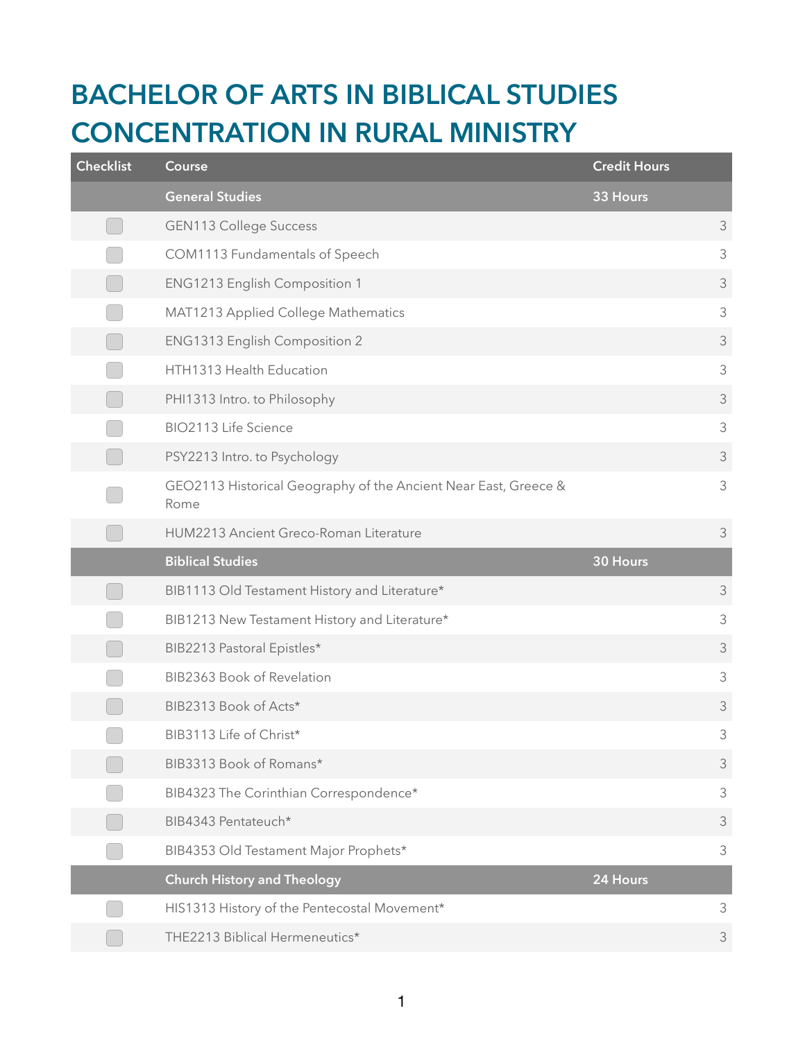## **BACHELOR OF ARTS IN BIBLICAL STUDIES CONCENTRATION IN RURAL MINISTRY**

| <b>Checklist</b> | Course                                                                  | <b>Credit Hours</b> |                |
|------------------|-------------------------------------------------------------------------|---------------------|----------------|
|                  | <b>General Studies</b>                                                  | 33 Hours            |                |
|                  | <b>GEN113 College Success</b>                                           |                     | 3              |
|                  | COM1113 Fundamentals of Speech                                          |                     | $\mathfrak{Z}$ |
|                  | <b>ENG1213 English Composition 1</b>                                    |                     | $\mathfrak{Z}$ |
|                  | MAT1213 Applied College Mathematics                                     |                     | $\mathfrak{Z}$ |
|                  | ENG1313 English Composition 2                                           |                     | 3              |
|                  | HTH1313 Health Education                                                |                     | $\mathfrak{Z}$ |
|                  | PHI1313 Intro. to Philosophy                                            |                     | $\mathfrak{Z}$ |
|                  | BIO2113 Life Science                                                    |                     | $\mathfrak{Z}$ |
|                  | PSY2213 Intro. to Psychology                                            |                     | $\mathfrak{Z}$ |
|                  | GEO2113 Historical Geography of the Ancient Near East, Greece &<br>Rome |                     | $\mathfrak{Z}$ |
|                  | HUM2213 Ancient Greco-Roman Literature                                  |                     | $\mathfrak{Z}$ |
|                  |                                                                         |                     |                |
|                  | <b>Biblical Studies</b>                                                 | 30 Hours            |                |
|                  | BIB1113 Old Testament History and Literature*                           |                     | $\mathfrak{Z}$ |
|                  | BIB1213 New Testament History and Literature*                           |                     | $\mathfrak{Z}$ |
|                  | BIB2213 Pastoral Epistles*                                              |                     | 3              |
|                  | BIB2363 Book of Revelation                                              |                     | $\mathfrak{Z}$ |
|                  | BIB2313 Book of Acts*                                                   |                     | $\mathfrak{Z}$ |
|                  | BIB3113 Life of Christ*                                                 |                     | 3              |
|                  | BIB3313 Book of Romans*                                                 |                     | $\mathfrak{Z}$ |
|                  | BIB4323 The Corinthian Correspondence*                                  |                     | 3              |
|                  | BIB4343 Pentateuch*                                                     |                     | 3              |
|                  | BIB4353 Old Testament Major Prophets*                                   |                     | $\mathfrak{Z}$ |
|                  | <b>Church History and Theology</b>                                      | 24 Hours            |                |
|                  | HIS1313 History of the Pentecostal Movement*                            |                     | 3              |